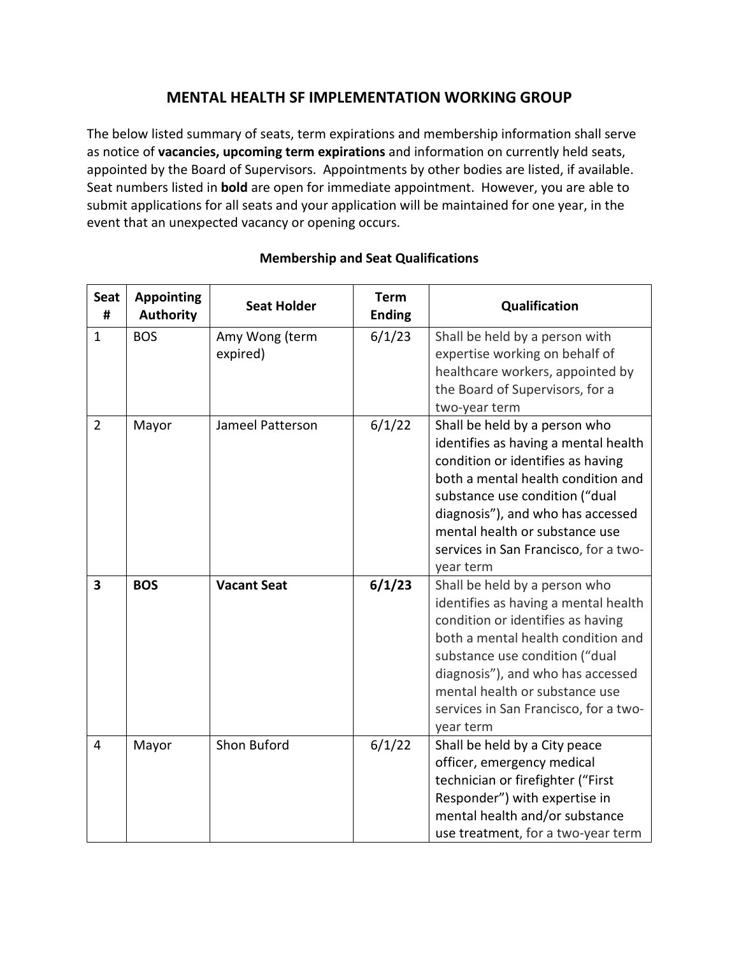## **MENTAL HEALTH SF IMPLEMENTATION WORKING GROUP**

The below listed summary of seats, term expirations and membership information shall serve as notice of **vacancies, upcoming term expirations** and information on currently held seats, appointed by the Board of Supervisors. Appointments by other bodies are listed, if available. Seat numbers listed in **bold** are open for immediate appointment. However, you are able to submit applications for all seats and your application will be maintained for one year, in the event that an unexpected vacancy or opening occurs.

| <b>Seat</b><br>#        | <b>Appointing</b><br><b>Authority</b> | <b>Seat Holder</b>         | <b>Term</b><br><b>Ending</b> | Qualification                                                                                                                                                                                                                                                                                                   |
|-------------------------|---------------------------------------|----------------------------|------------------------------|-----------------------------------------------------------------------------------------------------------------------------------------------------------------------------------------------------------------------------------------------------------------------------------------------------------------|
| $\mathbf{1}$            | <b>BOS</b>                            | Amy Wong (term<br>expired) | 6/1/23                       | Shall be held by a person with<br>expertise working on behalf of<br>healthcare workers, appointed by<br>the Board of Supervisors, for a<br>two-year term                                                                                                                                                        |
| $\overline{2}$          | Mayor                                 | Jameel Patterson           | 6/1/22                       | Shall be held by a person who<br>identifies as having a mental health<br>condition or identifies as having<br>both a mental health condition and<br>substance use condition ("dual<br>diagnosis"), and who has accessed<br>mental health or substance use<br>services in San Francisco, for a two-<br>year term |
| $\overline{\mathbf{3}}$ | <b>BOS</b>                            | <b>Vacant Seat</b>         | 6/1/23                       | Shall be held by a person who<br>identifies as having a mental health<br>condition or identifies as having<br>both a mental health condition and<br>substance use condition ("dual<br>diagnosis"), and who has accessed<br>mental health or substance use<br>services in San Francisco, for a two-<br>year term |
| $\overline{4}$          | Mayor                                 | Shon Buford                | 6/1/22                       | Shall be held by a City peace<br>officer, emergency medical<br>technician or firefighter ("First<br>Responder") with expertise in<br>mental health and/or substance<br>use treatment, for a two-year term                                                                                                       |

## **Membership and Seat Qualifications**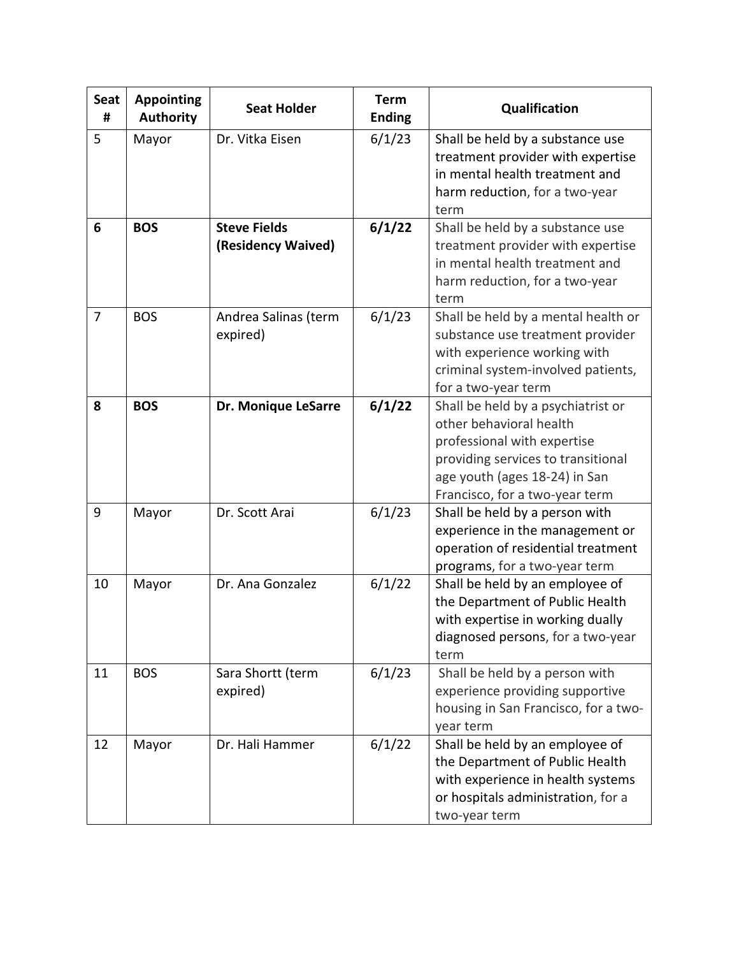| <b>Seat</b><br># | <b>Appointing</b><br><b>Authority</b> | <b>Seat Holder</b>                        | <b>Term</b><br><b>Ending</b> | Qualification                                                                                                                                                                                         |
|------------------|---------------------------------------|-------------------------------------------|------------------------------|-------------------------------------------------------------------------------------------------------------------------------------------------------------------------------------------------------|
| 5                | Mayor                                 | Dr. Vitka Eisen                           | 6/1/23                       | Shall be held by a substance use<br>treatment provider with expertise<br>in mental health treatment and<br>harm reduction, for a two-year<br>term                                                     |
| 6                | <b>BOS</b>                            | <b>Steve Fields</b><br>(Residency Waived) | 6/1/22                       | Shall be held by a substance use<br>treatment provider with expertise<br>in mental health treatment and<br>harm reduction, for a two-year<br>term                                                     |
| $\overline{7}$   | <b>BOS</b>                            | Andrea Salinas (term<br>expired)          | 6/1/23                       | Shall be held by a mental health or<br>substance use treatment provider<br>with experience working with<br>criminal system-involved patients,<br>for a two-year term                                  |
| 8                | <b>BOS</b>                            | Dr. Monique LeSarre                       | 6/1/22                       | Shall be held by a psychiatrist or<br>other behavioral health<br>professional with expertise<br>providing services to transitional<br>age youth (ages 18-24) in San<br>Francisco, for a two-year term |
| 9                | Mayor                                 | Dr. Scott Arai                            | 6/1/23                       | Shall be held by a person with<br>experience in the management or<br>operation of residential treatment<br>programs, for a two-year term                                                              |
| 10               | Mayor                                 | Dr. Ana Gonzalez                          | 6/1/22                       | Shall be held by an employee of<br>the Department of Public Health<br>with expertise in working dually<br>diagnosed persons, for a two-year<br>term                                                   |
| 11               | <b>BOS</b>                            | Sara Shortt (term<br>expired)             | 6/1/23                       | Shall be held by a person with<br>experience providing supportive<br>housing in San Francisco, for a two-<br>year term                                                                                |
| 12               | Mayor                                 | Dr. Hali Hammer                           | 6/1/22                       | Shall be held by an employee of<br>the Department of Public Health<br>with experience in health systems<br>or hospitals administration, for a<br>two-year term                                        |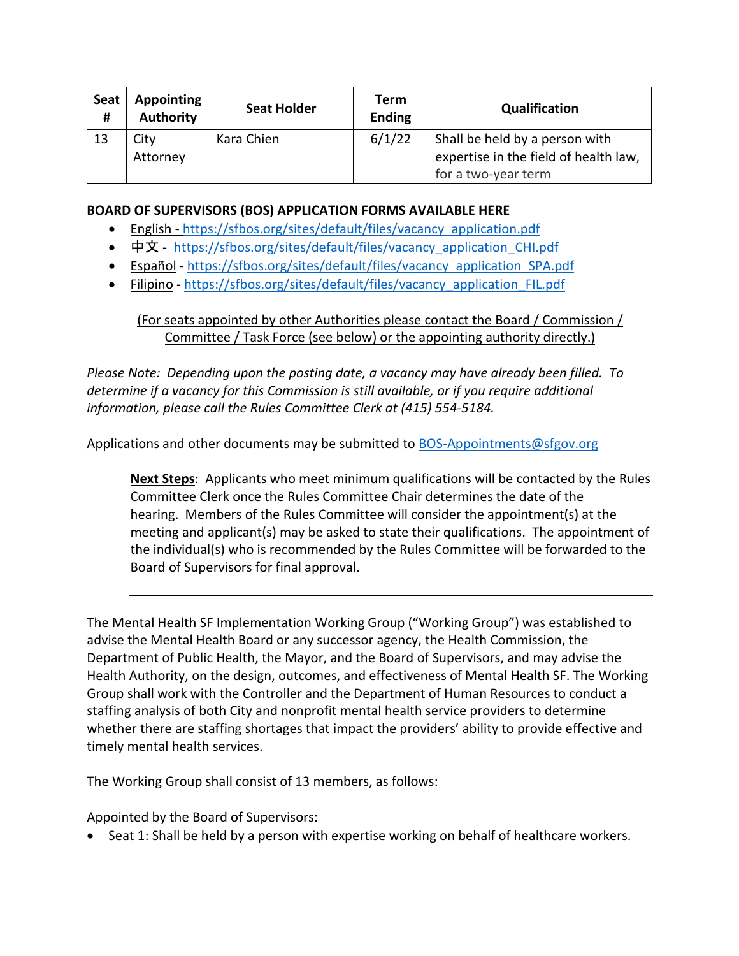| Seat<br># | Appointing<br><b>Authority</b> | <b>Seat Holder</b> | Term<br><b>Ending</b> | Qualification                                                           |
|-----------|--------------------------------|--------------------|-----------------------|-------------------------------------------------------------------------|
| 13        | City<br>Attorney               | Kara Chien         | 6/1/22                | Shall be held by a person with<br>expertise in the field of health law, |
|           |                                |                    |                       | for a two-year term                                                     |

## **BOARD OF SUPERVISORS (BOS) APPLICATION FORMS AVAILABLE HERE**

- English [https://sfbos.org/sites/default/files/vacancy\\_application.pdf](https://sfbos.org/sites/default/files/vacancy_application.pdf)
- [中文](https://sfbos.org/sites/default/files/vacancy_application_CHI.pdf) [https://sfbos.org/sites/default/files/vacancy\\_application\\_CHI.pdf](https://sfbos.org/sites/default/files/vacancy_application_CHI.pdf)
- [Español](https://sfbos.org/sites/default/files/vacancy_application_SPA.pdf) [https://sfbos.org/sites/default/files/vacancy\\_application\\_SPA.pdf](https://sfbos.org/sites/default/files/vacancy_application_SPA.pdf)
- [Filipino](https://sfbos.org/sites/default/files/vacancy_application_FIL.pdf) [https://sfbos.org/sites/default/files/vacancy\\_application\\_FIL.pdf](https://sfbos.org/sites/default/files/vacancy_application_FIL.pdf)

## (For seats appointed by other Authorities please contact the Board / Commission / Committee / Task Force (see below) or the appointing authority directly.)

*Please Note: Depending upon the posting date, a vacancy may have already been filled. To determine if a vacancy for this Commission is still available, or if you require additional information, please call the Rules Committee Clerk at (415) 554-5184.*

Applications and other documents may be submitted to [BOS-Appointments@sfgov.org](mailto:BOS-Appointments@sfgov.org)

**Next Steps**: Applicants who meet minimum qualifications will be contacted by the Rules Committee Clerk once the Rules Committee Chair determines the date of the hearing. Members of the Rules Committee will consider the appointment(s) at the meeting and applicant(s) may be asked to state their qualifications. The appointment of the individual(s) who is recommended by the Rules Committee will be forwarded to the Board of Supervisors for final approval.

The Mental Health SF Implementation Working Group ("Working Group") was established to advise the Mental Health Board or any successor agency, the Health Commission, the Department of Public Health, the Mayor, and the Board of Supervisors, and may advise the Health Authority, on the design, outcomes, and effectiveness of Mental Health SF. The Working Group shall work with the Controller and the Department of Human Resources to conduct a staffing analysis of both City and nonprofit mental health service providers to determine whether there are staffing shortages that impact the providers' ability to provide effective and timely mental health services.

The Working Group shall consist of 13 members, as follows:

Appointed by the Board of Supervisors:

• Seat 1: Shall be held by a person with expertise working on behalf of healthcare workers.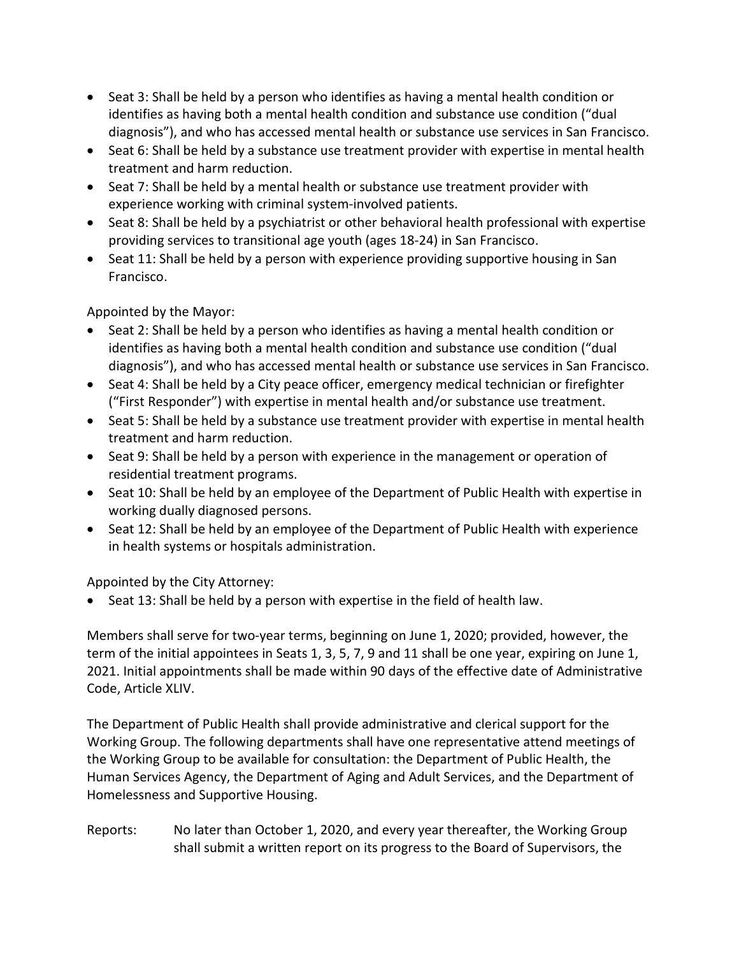- Seat 3: Shall be held by a person who identifies as having a mental health condition or identifies as having both a mental health condition and substance use condition ("dual diagnosis"), and who has accessed mental health or substance use services in San Francisco.
- Seat 6: Shall be held by a substance use treatment provider with expertise in mental health treatment and harm reduction.
- Seat 7: Shall be held by a mental health or substance use treatment provider with experience working with criminal system-involved patients.
- Seat 8: Shall be held by a psychiatrist or other behavioral health professional with expertise providing services to transitional age youth (ages 18-24) in San Francisco.
- Seat 11: Shall be held by a person with experience providing supportive housing in San Francisco.

Appointed by the Mayor:

- Seat 2: Shall be held by a person who identifies as having a mental health condition or identifies as having both a mental health condition and substance use condition ("dual diagnosis"), and who has accessed mental health or substance use services in San Francisco.
- Seat 4: Shall be held by a City peace officer, emergency medical technician or firefighter ("First Responder") with expertise in mental health and/or substance use treatment.
- Seat 5: Shall be held by a substance use treatment provider with expertise in mental health treatment and harm reduction.
- Seat 9: Shall be held by a person with experience in the management or operation of residential treatment programs.
- Seat 10: Shall be held by an employee of the Department of Public Health with expertise in working dually diagnosed persons.
- Seat 12: Shall be held by an employee of the Department of Public Health with experience in health systems or hospitals administration.

Appointed by the City Attorney:

• Seat 13: Shall be held by a person with expertise in the field of health law.

Members shall serve for two-year terms, beginning on June 1, 2020; provided, however, the term of the initial appointees in Seats 1, 3, 5, 7, 9 and 11 shall be one year, expiring on June 1, 2021. Initial appointments shall be made within 90 days of the effective date of Administrative Code, Article XLIV.

The Department of Public Health shall provide administrative and clerical support for the Working Group. The following departments shall have one representative attend meetings of the Working Group to be available for consultation: the Department of Public Health, the Human Services Agency, the Department of Aging and Adult Services, and the Department of Homelessness and Supportive Housing.

Reports: No later than October 1, 2020, and every year thereafter, the Working Group shall submit a written report on its progress to the Board of Supervisors, the